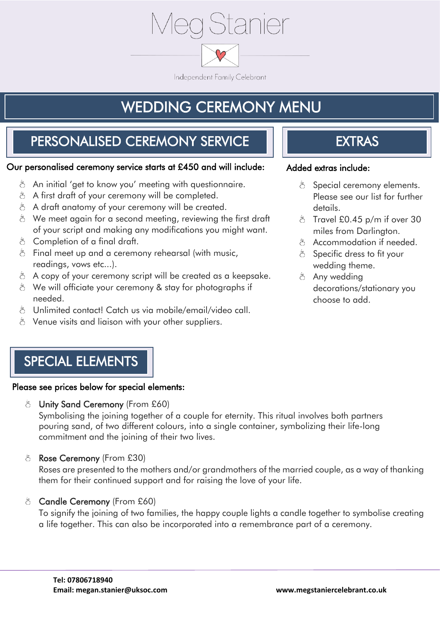

Independent Family Celebrant

# WEDDING CEREMONY MENU

## PERSONALISED CEREMONY SERVICE

#### Our personalised ceremony service starts at £450 and will include:

- $\ddot{\circ}$  An initial 'get to know you' meeting with questionnaire.
- $\delta$  A first draft of your ceremony will be completed.
- $\delta$  A draft anatomy of your ceremony will be created.
- $\delta$  We meet again for a second meeting, reviewing the first draft of your script and making any modifications you might want.
- $\delta$  Completion of a final draft.
- $\delta$  Final meet up and a ceremony rehearsal (with music, readings, vows etc...).
- $\delta$  A copy of your ceremony script will be created as a keepsake.
- $\delta$  We will officiate your ceremony & stay for photographs if needed.
- $\delta$  Unlimited contact! Catch us via mobile/email/video call.
- $\delta$  Venue visits and liaison with your other suppliers.

## EXTRAS

#### Added extras include:

- $\delta$  Special ceremony elements. Please see our list for further details.
- $\delta$  Travel £0.45 p/m if over 30 miles from Darlington.
- $\delta$  Accommodation if needed.
- $\delta$  Specific dress to fit your wedding theme.
- $\delta$  Any wedding decorations/stationary you choose to add.

## SPECIAL ELEMENTS

#### Please see prices below for special elements:

ර්  $\ddot{\circ}$ Unity Sand Ceremony (From £60)

Symbolising the joining together of a couple for eternity. This ritual involves both partners pouring sand, of two different colours, into a single container, symbolizing their life-long commitment and the joining of their two lives.

 $\delta$  Rose Ceremony (From £30)

Roses are presented to the mothers and/or grandmothers of the married couple, as a way of thanking them for their continued support and for raising the love of your life.

 $\delta$  Candle Ceremony (From £60)

To signify the joining of two families, the happy couple lights a candle together to symbolise creating a life together. This can also be incorporated into a remembrance part of a ceremony.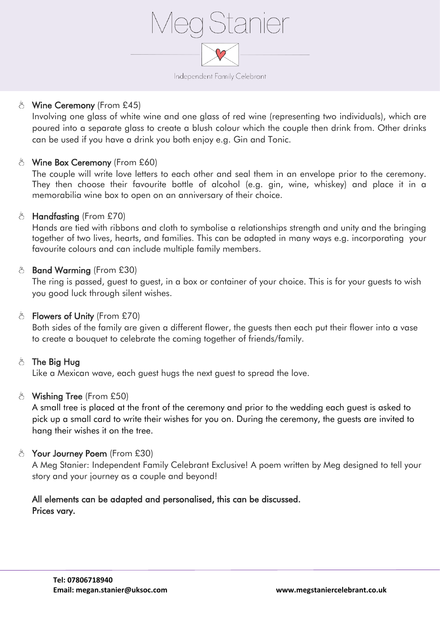

#### $\delta$  Wine Ceremony (From £45)

Involving one glass of white wine and one glass of red wine (representing two individuals), which are poured into a separate glass to create a blush colour which the couple then drink from. Other drinks can be used if you have a drink you both enjoy e.g. Gin and Tonic.

#### $\delta$  Wine Box Ceremony (From £60)

The couple will write love letters to each other and seal them in an envelope prior to the ceremony. They then choose their favourite bottle of alcohol (e.g. gin, wine, whiskey) and place it in a memorabilia wine box to open on an anniversary of their choice.

#### $\delta$  Handfasting (From £70)

Hands are tied with ribbons and cloth to symbolise a relationships strength and unity and the bringing together of two lives, hearts, and families. This can be adapted in many ways e.g. incorporating your favourite colours and can include multiple family members.

#### 8 Band Warming (From £30)

The ring is passed, guest to guest, in a box or container of your choice. This is for your guests to wish you good luck through silent wishes.

#### $\delta$  Flowers of Unity (From £70)

Both sides of the family are given a different flower, the guests then each put their flower into a vase to create a bouquet to celebrate the coming together of friends/family.

#### $\delta$  The Big Hug

Like a Mexican wave, each guest hugs the next guest to spread the love.

#### $\delta$  Wishing Tree (From £50)

A small tree is placed at the front of the ceremony and prior to the wedding each guest is asked to pick up a small card to write their wishes for you on. During the ceremony, the guests are invited to hang their wishes it on the tree.

#### $\delta$  Your Journey Poem (From £30)

A Meg Stanier: Independent Family Celebrant Exclusive! A poem written by Meg designed to tell your story and your journey as a couple and beyond!

#### All elements can be adapted and personalised, this can be discussed. Prices vary.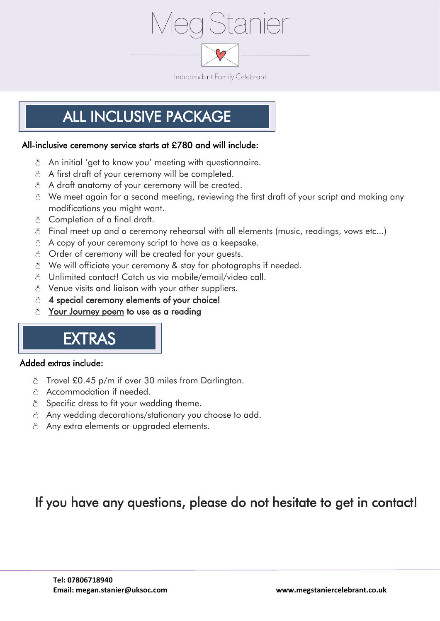

# ALL INCLUSIVE PACKAGE

#### All-inclusive ceremony service starts at £780 and will include:

- $\delta$  An initial 'get to know you' meeting with questionnaire.
- $\delta$  A first draft of your ceremony will be completed.
- $\delta$  A draft anatomy of your ceremony will be created.
- $\delta$  We meet again for a second meeting, reviewing the first draft of your script and making any modifications you might want.
- $\delta$  Completion of a final draft.
- $\delta$  Final meet up and a ceremony rehearsal with all elements (music, readinas, vows etc...)
- $\delta$  A copy of your ceremony script to have as a keepsake.
- $\delta$  Order of ceremony will be created for your quests.
- $\delta$  We will officiate your ceremony & stay for photographs if needed.
- $\delta$  Unlimited contact! Catch us via mobile/email/video call.
- $\delta$  Venue visits and liaison with your other suppliers.
- $\delta$  4 special ceremony elements of your choice!
- $\delta$  Your Journey poem to use as a reading

# EXTRAS

#### Added extras include:

i

- $\delta$  Travel £0.45 p/m if over 30 miles from Darlington.
- $\delta$  Accommodation if needed.
- $\delta$  Specific dress to fit your wedding theme.
- $\delta$  Any wedding decorations/stationary you choose to add.
- $\delta$  Any extra elements or upgraded elements.

### If you have any questions, please do not hesitate to get in contact!